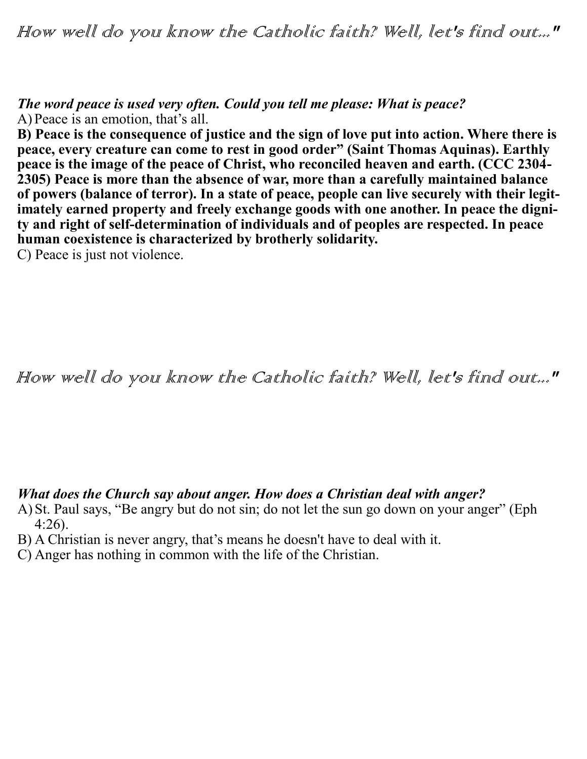How well do you know the Catholic faith? Well, let's find out..."

*The word peace is used very often. Could you tell me please: What is peace?* A) Peace is an emotion, that's all.

**B)** Peace is the consequence of justice and the sign of love put into action. Where there is **peace, every creature can come to rest in good order" (Saint Thomas Aquinas). Earthly peace is the image of the peace of Christ, who reconciled heaven and earth. (CCC 2304- 2305) Peace is more than the absence of war, more than a carefully maintained balance of powers (balance of terror). In a state of peace, people can live securely with their legitimately earned property and freely exchange goods with one another. In peace the dignity and right of self-determination of individuals and of peoples are respected. In peace human coexistence is characterized by brotherly solidarity.** 

C) Peace is just not violence.

How well do you know the Catholic faith? Well, let's find out..."

## *What does the Church say about anger. How does a Christian deal with anger?*

- A) St. Paul says, "Be angry but do not sin; do not let the sun go down on your anger" (Eph 4:26).
- B) A Christian is never angry, that's means he doesn't have to deal with it.
- C) Anger has nothing in common with the life of the Christian.